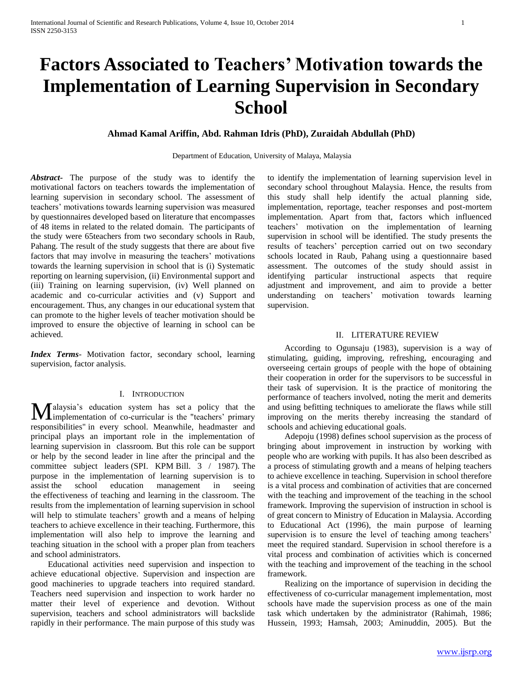# **Factors Associated to Teachers' Motivation towards the Implementation of Learning Supervision in Secondary School**

## **Ahmad Kamal Ariffin, Abd. Rahman Idris (PhD), Zuraidah Abdullah (PhD)**

Department of Education, University of Malaya, Malaysia

*Abstract***-** The purpose of the study was to identify the motivational factors on teachers towards the implementation of learning supervision in secondary school. The assessment of teachers' motivations towards learning supervision was measured by questionnaires developed based on literature that encompasses of 48 items in related to the related domain. The participants of the study were 65teachers from two secondary schools in Raub, Pahang. The result of the study suggests that there are about five factors that may involve in measuring the teachers' motivations towards the learning supervision in school that is (i) Systematic reporting on learning supervision, (ii) Environmental support and (iii) Training on learning supervision, (iv) Well planned on academic and co-curricular activities and (v) Support and encouragement. Thus, any changes in our educational system that can promote to the higher levels of teacher motivation should be improved to ensure the objective of learning in school can be achieved.

*Index Terms*- Motivation factor, secondary school, learning supervision, factor analysis.

## I. INTRODUCTION

alaysia's education system has set a policy that the **M**alaysia's education system has set a policy that the "teachers' primary in the "teachers' primary responsibilities" in every school. Meanwhile, headmaster and principal plays an important role in the implementation of learning supervision in classroom. But this role can be support or help by the second leader in line after the principal and the committee subject leaders (SPI. KPM Bill. 3 / 1987). The purpose in the implementation of learning supervision is to assist the school education management in seeing the effectiveness of teaching and learning in the classroom. The results from the implementation of learning supervision in school will help to stimulate teachers' growth and a means of helping teachers to achieve excellence in their teaching. Furthermore, this implementation will also help to improve the learning and teaching situation in the school with a proper plan from teachers and school administrators.

 Educational activities need supervision and inspection to achieve educational objective. Supervision and inspection are good machineries to upgrade teachers into required standard. Teachers need supervision and inspection to work harder no matter their level of experience and devotion. Without supervision, teachers and school administrators will backslide rapidly in their performance. The main purpose of this study was

to identify the implementation of learning supervision level in secondary school throughout Malaysia. Hence, the results from this study shall help identify the actual planning side, implementation, reportage, teacher responses and post-mortem implementation. Apart from that, factors which influenced teachers' motivation on the implementation of learning supervision in school will be identified. The study presents the results of teachers' perception carried out on two secondary schools located in Raub, Pahang using a questionnaire based assessment. The outcomes of the study should assist in identifying particular instructional aspects that require adjustment and improvement, and aim to provide a better understanding on teachers' motivation towards learning supervision.

#### II. LITERATURE REVIEW

 According to Ogunsaju (1983), supervision is a way of stimulating, guiding, improving, refreshing, encouraging and overseeing certain groups of people with the hope of obtaining their cooperation in order for the supervisors to be successful in their task of supervision. It is the practice of monitoring the performance of teachers involved, noting the merit and demerits and using befitting techniques to ameliorate the flaws while still improving on the merits thereby increasing the standard of schools and achieving educational goals.

 Adepoju (1998) defines school supervision as the process of bringing about improvement in instruction by working with people who are working with pupils. It has also been described as a process of stimulating growth and a means of helping teachers to achieve excellence in teaching. Supervision in school therefore is a vital process and combination of activities that are concerned with the teaching and improvement of the teaching in the school framework. Improving the supervision of instruction in school is of great concern to Ministry of Education in Malaysia. According to Educational Act (1996), the main purpose of learning supervision is to ensure the level of teaching among teachers' meet the required standard. Supervision in school therefore is a vital process and combination of activities which is concerned with the teaching and improvement of the teaching in the school framework.

 Realizing on the importance of supervision in deciding the effectiveness of co-curricular management implementation, most schools have made the supervision process as one of the main task which undertaken by the administrator (Rahimah, 1986; Hussein, 1993; Hamsah, 2003; Aminuddin, 2005). But the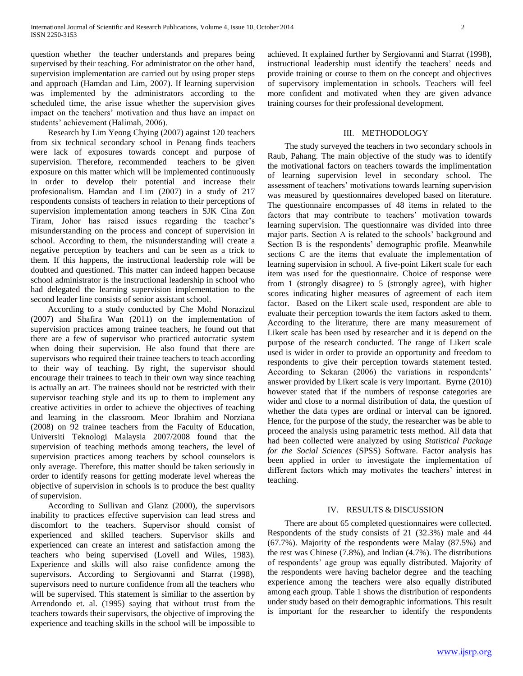question whether the teacher understands and prepares being supervised by their teaching. For administrator on the other hand, supervision implementation are carried out by using proper steps and approach (Hamdan and Lim, 2007). If learning supervision was implemented by the administrators according to the scheduled time, the arise issue whether the supervision gives impact on the teachers' motivation and thus have an impact on students' achievement (Halimah, 2006).

 Research by Lim Yeong Chying (2007) against 120 teachers from six technical secondary school in Penang finds teachers were lack of exposures towards concept and purpose of supervision. Therefore, recommended teachers to be given exposure on this matter which will be implemented continuously in order to develop their potential and increase their profesionalism. Hamdan and Lim (2007) in a study of 217 respondents consists of teachers in relation to their perceptions of supervision implementation among teachers in SJK Cina Zon Tiram, Johor has raised issues regarding the teacher's misunderstanding on the process and concept of supervision in school. According to them, the misunderstanding will create a negative perception by teachers and can be seen as a trick to them. If this happens, the instructional leadership role will be doubted and questioned. This matter can indeed happen because school administrator is the instructional leadership in school who had delegated the learning supervision implementation to the second leader line consists of senior assistant school.

 According to a study conducted by Che Mohd Norazizul (2007) and Shafira Wan (2011) on the implementation of supervision practices among trainee teachers, he found out that there are a few of supervisor who practiced autocratic system when doing their supervision. He also found that there are supervisors who required their trainee teachers to teach according to their way of teaching. By right, the supervisor should encourage their trainees to teach in their own way since teaching is actually an art. The trainees should not be restricted with their supervisor teaching style and its up to them to implement any creative activities in order to achieve the objectives of teaching and learning in the classroom. Meor Ibrahim and Norziana (2008) on 92 trainee teachers from the Faculty of Education, Universiti Teknologi Malaysia 2007/2008 found that the supervision of teaching methods among teachers, the level of supervision practices among teachers by school counselors is only average. Therefore, this matter should be taken seriously in order to identify reasons for getting moderate level whereas the objective of supervision in schools is to produce the best quality of supervision.

 According to Sullivan and Glanz (2000), the supervisors inability to practices effective supervision can lead stress and discomfort to the teachers. Supervisor should consist of experienced and skilled teachers. Supervisor skills and experienced can create an interest and satisfaction among the teachers who being supervised (Lovell and Wiles, 1983). Experience and skills will also raise confidence among the supervisors. According to Sergiovanni and Starrat (1998), supervisors need to nurture confidence from all the teachers who will be supervised. This statement is similiar to the assertion by Arrendondo et. al. (1995) saying that without trust from the teachers towards their supervisors, the objective of improving the experience and teaching skills in the school will be impossible to

achieved. It explained further by Sergiovanni and Starrat (1998), instructional leadership must identify the teachers' needs and provide training or course to them on the concept and objectives of supervisory implementation in schools. Teachers will feel more confident and motivated when they are given advance training courses for their professional development.

## III. METHODOLOGY

 The study surveyed the teachers in two secondary schools in Raub, Pahang. The main objective of the study was to identify the motivational factors on teachers towards the implimentation of learning supervision level in secondary school. The assessment of teachers' motivations towards learning supervision was measured by questionnaires developed based on literature. The questionnaire encompasses of 48 items in related to the factors that may contribute to teachers' motivation towards learning supervision. The questionnaire was divided into three major parts. Section A is related to the schools' background and Section B is the respondents' demographic profile. Meanwhile sections C are the items that evaluate the implementation of learning supervision in school. A five-point Likert scale for each item was used for the questionnaire. Choice of response were from 1 (strongly disagree) to 5 (strongly agree), with higher scores indicating higher measures of agreement of each item factor. Based on the Likert scale used, respondent are able to evaluate their perception towards the item factors asked to them. According to the literature, there are many measurement of Likert scale has been used by researcher and it is depend on the purpose of the research conducted. The range of Likert scale used is wider in order to provide an opportunity and freedom to respondents to give their perception towards statement tested. According to Sekaran (2006) the variations in respondents' answer provided by Likert scale is very important. Byrne (2010) however stated that if the numbers of response categories are wider and close to a normal distribution of data, the question of whether the data types are ordinal or interval can be ignored. Hence, for the purpose of the study, the researcher was be able to proceed the analysis using parametric tests method. All data that had been collected were analyzed by using *Statistical Package for the Social Sciences* (SPSS) Software. Factor analysis has been applied in order to investigate the implementation of different factors which may motivates the teachers' interest in teaching.

## IV. RESULTS & DISCUSSION

 There are about 65 completed questionnaires were collected. Respondents of the study consists of 21 (32.3%) male and 44 (67.7%). Majority of the respondents were Malay (87.5%) and the rest was Chinese (7.8%), and Indian (4.7%). The distributions of respondents' age group was equally distributed. Majority of the respondents were having bachelor degree and the teaching experience among the teachers were also equally distributed among each group. Table 1 shows the distribution of respondents under study based on their demographic informations. This result is important for the researcher to identify the respondents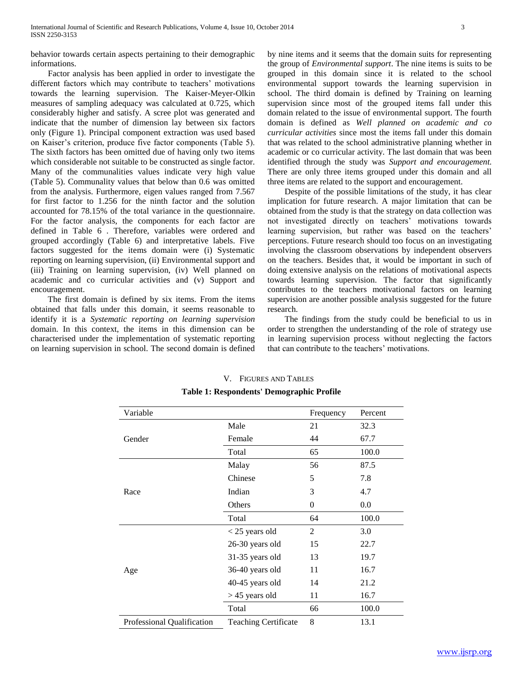behavior towards certain aspects pertaining to their demographic informations.

 Factor analysis has been applied in order to investigate the different factors which may contribute to teachers' motivations towards the learning supervision. The Kaiser-Meyer-Olkin measures of sampling adequacy was calculated at 0.725, which considerably higher and satisfy. A scree plot was generated and indicate that the number of dimension lay between six factors only (Figure 1). Principal component extraction was used based on Kaiser's criterion, produce five factor components (Table 5). The sixth factors has been omitted due of having only two items which considerable not suitable to be constructed as single factor. Many of the communalities values indicate very high value (Table 5). Communality values that below than 0.6 was omitted from the analysis. Furthermore, eigen values ranged from 7.567 for first factor to 1.256 for the ninth factor and the solution accounted for 78.15% of the total variance in the questionnaire. For the factor analysis, the components for each factor are defined in Table 6 . Therefore, variables were ordered and grouped accordingly (Table 6) and interpretative labels. Five factors suggested for the items domain were (i) Systematic reporting on learning supervision, (ii) Environmental support and (iii) Training on learning supervision, (iv) Well planned on academic and co curricular activities and (v) Support and encouragement.

 The first domain is defined by six items. From the items obtained that falls under this domain, it seems reasonable to identify it is a *Systematic reporting on learning supervision*  domain. In this context, the items in this dimension can be characterised under the implementation of systematic reporting on learning supervision in school. The second domain is defined

by nine items and it seems that the domain suits for representing the group of *Environmental support*. The nine items is suits to be grouped in this domain since it is related to the school environmental support towards the learning supervision in school. The third domain is defined by Training on learning supervision since most of the grouped items fall under this domain related to the issue of environmental support. The fourth domain is defined as *Well planned on academic and co curricular activities* since most the items fall under this domain that was related to the school administrative planning whether in academic or co curricular activity. The last domain that was been identified through the study was *Support and encouragement.* There are only three items grouped under this domain and all three items are related to the support and encouragement.

 Despite of the possible limitations of the study, it has clear implication for future research. A major limitation that can be obtained from the study is that the strategy on data collection was not investigated directly on teachers' motivations towards learning supervision, but rather was based on the teachers' perceptions. Future research should too focus on an investigating involving the classroom observations by independent observers on the teachers. Besides that, it would be important in such of doing extensive analysis on the relations of motivational aspects towards learning supervision. The factor that significantly contributes to the teachers motivational factors on learning supervision are another possible analysis suggested for the future research.

 The findings from the study could be beneficial to us in order to strengthen the understanding of the role of strategy use in learning supervision process without neglecting the factors that can contribute to the teachers' motivations.

| Variable                   |                             | Frequency | Percent |
|----------------------------|-----------------------------|-----------|---------|
|                            | Male                        | 21        | 32.3    |
| Gender                     | Female                      | 44        | 67.7    |
|                            | Total                       | 65        | 100.0   |
|                            | Malay                       | 56        | 87.5    |
|                            | Chinese                     | 5         | 7.8     |
| Race                       | Indian                      | 3         | 4.7     |
|                            | Others                      | 0         | 0.0     |
|                            | Total                       | 64        | 100.0   |
|                            | $<$ 25 years old            | 2         | 3.0     |
|                            | 26-30 years old             | 15        | 22.7    |
|                            | 31-35 years old             | 13        | 19.7    |
| Age                        | 36-40 years old             | 11        | 16.7    |
|                            | 40-45 years old             | 14        | 21.2    |
|                            | $> 45$ years old            | 11        | 16.7    |
|                            | Total                       | 66        | 100.0   |
| Professional Qualification | <b>Teaching Certificate</b> | 8         | 13.1    |

## V. FIGURES AND TABLES **Table 1: Respondents' Demographic Profile**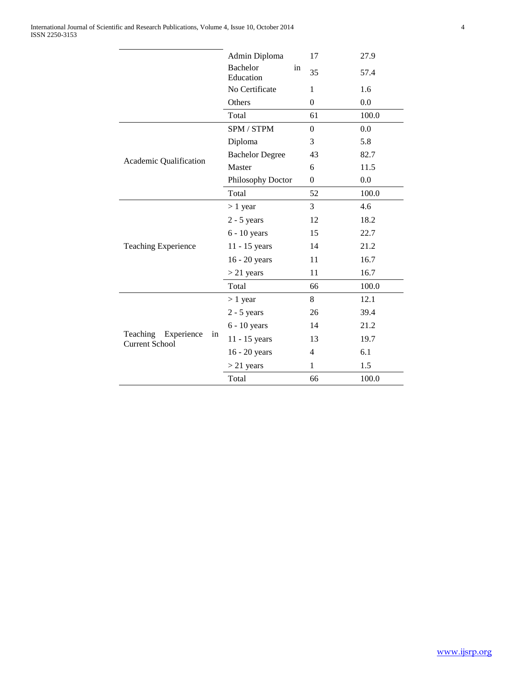|                                                       | Admin Diploma                      | 17               | 27.9  |
|-------------------------------------------------------|------------------------------------|------------------|-------|
|                                                       | <b>Bachelor</b><br>in<br>Education | 35               | 57.4  |
|                                                       | No Certificate                     | 1                | 1.6   |
|                                                       | Others                             | $\overline{0}$   | 0.0   |
|                                                       | Total                              | 61               | 100.0 |
|                                                       | SPM / STPM                         | $\boldsymbol{0}$ | 0.0   |
|                                                       | Diploma                            | 3                | 5.8   |
|                                                       | <b>Bachelor Degree</b>             | 43               | 82.7  |
| Academic Qualification                                | Master                             | 6                | 11.5  |
|                                                       | Philosophy Doctor                  | $\boldsymbol{0}$ | 0.0   |
|                                                       | Total                              | 52               | 100.0 |
|                                                       | $> 1$ year                         | 3                | 4.6   |
|                                                       | $2 - 5$ years                      | 12               | 18.2  |
|                                                       | $6 - 10$ years                     | 15               | 22.7  |
| <b>Teaching Experience</b>                            | 11 - 15 years                      | 14               | 21.2  |
|                                                       | 16 - 20 years                      | 11               | 16.7  |
|                                                       | $> 21$ years                       | 11               | 16.7  |
|                                                       | Total                              | 66               | 100.0 |
|                                                       | $> 1$ year                         | 8                | 12.1  |
|                                                       | $2 - 5$ years                      | 26               | 39.4  |
|                                                       | $6 - 10$ years                     | 14               | 21.2  |
| Teaching<br>Experience<br>in<br><b>Current School</b> | 11 - 15 years                      | 13               | 19.7  |
|                                                       | 16 - 20 years                      | $\overline{4}$   | 6.1   |
|                                                       | $> 21$ years                       | $\mathbf{1}$     | 1.5   |
|                                                       | Total                              | 66               | 100.0 |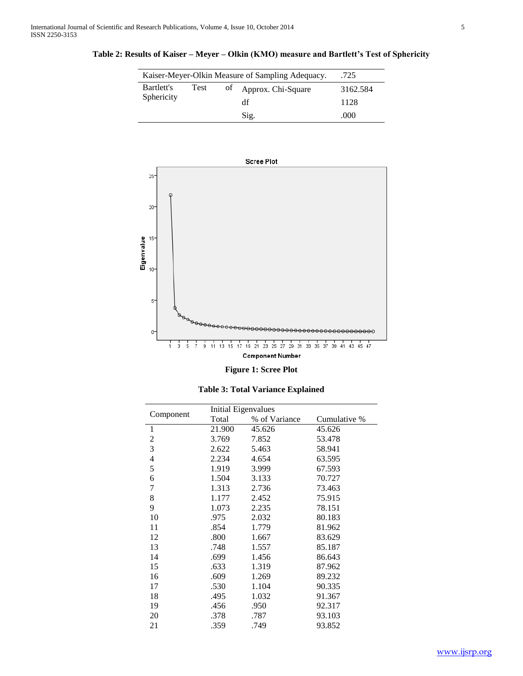l,

| Kaiser-Meyer-Olkin Measure of Sampling Adequacy.<br>.725 |      |    |                    |          |
|----------------------------------------------------------|------|----|--------------------|----------|
| Bartlett's                                               | Test | of | Approx. Chi-Square | 3162.584 |
| Sphericity                                               |      | df | 1128               |          |
|                                                          |      |    | Sig.               | .000     |

**Table 2: Results of Kaiser – Meyer – Olkin (KMO) measure and Bartlett's Test of Sphericity**



| <b>Table 3: Total Variance Explained</b> |
|------------------------------------------|
|                                          |

|                  |        | <b>Initial Eigenvalues</b> |              |
|------------------|--------|----------------------------|--------------|
| Component        | Total  | % of Variance              | Cumulative % |
| 1                | 21.900 | 45.626                     | 45.626       |
| $\boldsymbol{2}$ | 3.769  | 7.852                      | 53.478       |
| 3                | 2.622  | 5.463                      | 58.941       |
| 4                | 2.234  | 4.654                      | 63.595       |
| 5                | 1.919  | 3.999                      | 67.593       |
| 6                | 1.504  | 3.133                      | 70.727       |
| 7                | 1.313  | 2.736                      | 73.463       |
| 8                | 1.177  | 2.452                      | 75.915       |
| 9                | 1.073  | 2.235                      | 78.151       |
| 10               | .975   | 2.032                      | 80.183       |
| 11               | .854   | 1.779                      | 81.962       |
| 12               | .800   | 1.667                      | 83.629       |
| 13               | .748   | 1.557                      | 85.187       |
| 14               | .699   | 1.456                      | 86.643       |
| 15               | .633   | 1.319                      | 87.962       |
| 16               | .609   | 1.269                      | 89.232       |
| 17               | .530   | 1.104                      | 90.335       |
| 18               | .495   | 1.032                      | 91.367       |
| 19               | .456   | .950                       | 92.317       |
| 20               | .378   | .787                       | 93.103       |
| 21               | .359   | .749                       | 93.852       |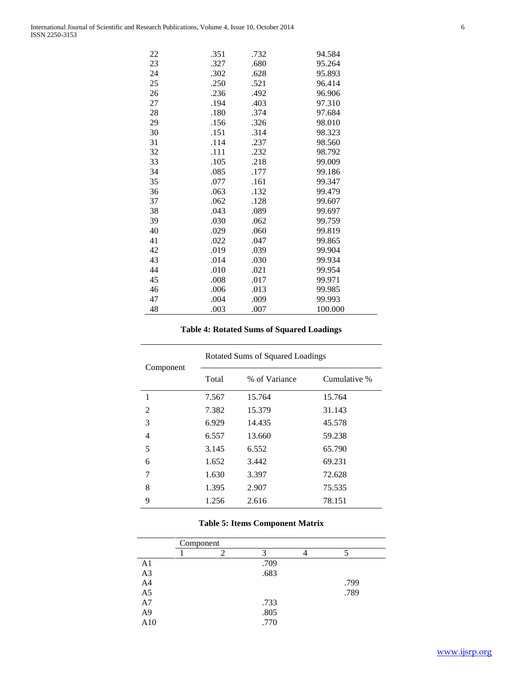| 22 | .351 | .732 | 94.584  |
|----|------|------|---------|
| 23 | .327 | .680 | 95.264  |
| 24 | .302 | .628 | 95.893  |
| 25 | .250 | .521 | 96.414  |
| 26 | .236 | .492 | 96.906  |
| 27 | .194 | .403 | 97.310  |
| 28 | .180 | .374 | 97.684  |
| 29 | .156 | .326 | 98.010  |
| 30 | .151 | .314 | 98.323  |
| 31 | .114 | .237 | 98.560  |
| 32 | .111 | .232 | 98.792  |
| 33 | .105 | .218 | 99.009  |
| 34 | .085 | .177 | 99.186  |
| 35 | .077 | .161 | 99.347  |
| 36 | .063 | .132 | 99.479  |
| 37 | .062 | .128 | 99.607  |
| 38 | .043 | .089 | 99.697  |
| 39 | .030 | .062 | 99.759  |
| 40 | .029 | .060 | 99.819  |
| 41 | .022 | .047 | 99.865  |
| 42 | .019 | .039 | 99.904  |
| 43 | .014 | .030 | 99.934  |
| 44 | .010 | .021 | 99.954  |
| 45 | .008 | .017 | 99.971  |
| 46 | .006 | .013 | 99.985  |
| 47 | .004 | .009 | 99.993  |
| 48 | .003 | .007 | 100.000 |
|    |      |      |         |

# **Table 4: Rotated Sums of Squared Loadings**

| Component      | Rotated Sums of Squared Loadings |               |              |  |
|----------------|----------------------------------|---------------|--------------|--|
|                | Total                            | % of Variance | Cumulative % |  |
| 1              | 7.567                            | 15.764        | 15.764       |  |
| $\overline{2}$ | 7.382                            | 15.379        | 31.143       |  |
| 3              | 6.929                            | 14.435        | 45.578       |  |
| 4              | 6.557                            | 13.660        | 59.238       |  |
| 5              | 3.145                            | 6.552         | 65.790       |  |
| 6              | 1.652                            | 3.442         | 69.231       |  |
| 7              | 1.630                            | 3.397         | 72.628       |  |
| 8              | 1.395                            | 2.907         | 75.535       |  |
| 9              | 1.256                            | 2.616         | 78.151       |  |

# **Table 5: Items Component Matrix**

|                | Component |      |      |
|----------------|-----------|------|------|
|                |           |      |      |
| A <sub>1</sub> |           | .709 |      |
| A <sub>3</sub> |           | .683 |      |
| A4             |           |      | .799 |
| A <sub>5</sub> |           |      | .789 |
| A7             |           | .733 |      |
| A <sub>9</sub> |           | .805 |      |
| A10            |           | .770 |      |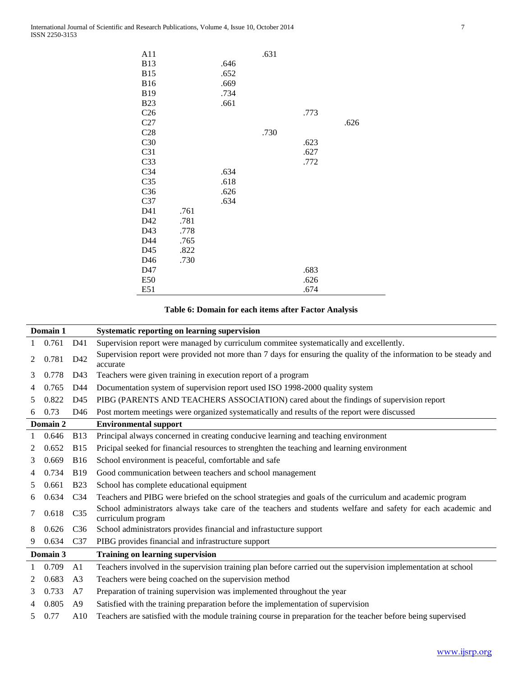$\overline{\phantom{0}}$ 

| A11             |      |      | .631 |      |      |
|-----------------|------|------|------|------|------|
| <b>B13</b>      |      | .646 |      |      |      |
| <b>B15</b>      |      | .652 |      |      |      |
| <b>B16</b>      |      |      |      |      |      |
|                 |      | .669 |      |      |      |
| <b>B19</b>      |      | .734 |      |      |      |
| <b>B23</b>      |      | .661 |      |      |      |
| C <sub>26</sub> |      |      |      | .773 |      |
| C27             |      |      |      |      | .626 |
| C28             |      |      | .730 |      |      |
| C30             |      |      |      | .623 |      |
| C <sub>31</sub> |      |      |      | .627 |      |
| C <sub>33</sub> |      |      |      | .772 |      |
| C <sub>34</sub> |      | .634 |      |      |      |
| C <sub>35</sub> |      | .618 |      |      |      |
| C36             |      | .626 |      |      |      |
| C <sub>37</sub> |      | .634 |      |      |      |
| D41             | .761 |      |      |      |      |
| D42             | .781 |      |      |      |      |
| D43             | .778 |      |      |      |      |
| D44             | .765 |      |      |      |      |
| D45             | .822 |      |      |      |      |
| D46             | .730 |      |      |      |      |
| D47             |      |      |      | .683 |      |
| E50             |      |      |      | .626 |      |
| E51             |      |      |      | .674 |      |

# **Table 6: Domain for each items after Factor Analysis**

|               | Domain 1 |                 | Systematic reporting on learning supervision                                                                                       |
|---------------|----------|-----------------|------------------------------------------------------------------------------------------------------------------------------------|
|               | 0.761    | D41             | Supervision report were managed by curriculum commitee systematically and excellently.                                             |
| 2             | 0.781    | D42             | Supervision report were provided not more than 7 days for ensuring the quality of the information to be steady and<br>accurate     |
| 3             | 0.778    | D43             | Teachers were given training in execution report of a program                                                                      |
|               | 0.765    | D44             | Documentation system of supervision report used ISO 1998-2000 quality system                                                       |
| 5             | 0.822    | D45             | PIBG (PARENTS AND TEACHERS ASSOCIATION) cared about the findings of supervision report                                             |
| 6             | 0.73     | D46             | Post mortem meetings were organized systematically and results of the report were discussed                                        |
|               | Domain 2 |                 | <b>Environmental support</b>                                                                                                       |
|               | 0.646    | <b>B</b> 13     | Principal always concerned in creating conducive learning and teaching environment                                                 |
| $\mathcal{L}$ | 0.652    | <b>B15</b>      | Pricipal seeked for financial resources to strenghten the teaching and learning environment                                        |
| 3             | 0.669    | <b>B16</b>      | School environment is peaceful, comfortable and safe                                                                               |
|               | 0.734    | <b>B19</b>      | Good communication between teachers and school management                                                                          |
| 5             | 0.661    | <b>B23</b>      | School has complete educational equipment                                                                                          |
| 6             | 0.634    | C <sub>34</sub> | Teachers and PIBG were briefed on the school strategies and goals of the curriculum and academic program                           |
| 7             | 0.618    | C <sub>35</sub> | School administrators always take care of the teachers and students welfare and safety for each academic and<br>curriculum program |
| 8             | 0.626    | C <sub>36</sub> | School administrators provides financial and infrastucture support                                                                 |
| 9             | 0.634    | C <sub>37</sub> | PIBG provides financial and infrastructure support                                                                                 |
|               | Domain 3 |                 | <b>Training on learning supervision</b>                                                                                            |
|               | 0.709    | A1              | Teachers involved in the supervision training plan before carried out the supervision implementation at school                     |
| $\mathcal{L}$ | 0.683    | A <sub>3</sub>  | Teachers were being coached on the supervision method                                                                              |
| 3             | 0.733    | A7              | Preparation of training supervision was implemented throughout the year                                                            |
|               | 0.805    | A9              | Satisfied with the training preparation before the implementation of supervision                                                   |
| 5             | 0.77     | A10             | Teachers are satisfied with the module training course in preparation for the teacher before being supervised                      |